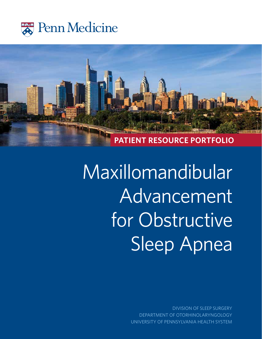



# Maxillomandibular Advancement for Obstructive Sleep Apnea

DIVISION OF SLEEP SURGERY DEPARTMENT OF OTORHINOLARYNGOLOGY UNIVERSITY OF PENNSYLVANIA HEALTH SYSTEM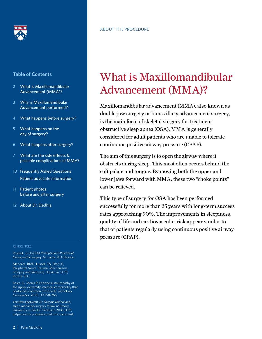

#### ABOUT THE PROCEDURE

#### **Table of Contents**

- 2 What is Maxillomandibular Advancement (MMA)?
- 3 Why is Maxillomandibular Advancement performed?
- 4 What happens before surgery?
- 5 What happens on the day of surgery?
- 6 What happens after surgery?
- 7 What are the side effects & possible complications of MMA?
- 10 Frequently Asked Questions Patient advocate information
- 11 Patient photos before and after surgery
- 12 About Dr. Dedhia

#### **REFERENCES**

Posnick, JC. (2014) *Principles and Practice of Orthognathic Surgery*. St. Louis, MO: Elsevier

Menorca, RMG, Fussell, TS, Elfar, JC, Peripheral Nerve Trauma: Mechanisms of Injury and Recovery. *Hand Clin*. 2013; 29:317–330.

Bales JG, Meals R. Peripheral neuropathy of the upper extremity: medical comorbidity that confounds common orthopedic pathology. *Orthopedics*. 2009; 32:758–765.

ACKNOWLEDGEMENT: *Dr. Graeme Mulholland*, sleep medicine/surgery fellow at Emory University under Dr. Dedhia in 2018-2019, helped in the preparation of this document.

# What is Maxillomandibular Advancement (MMA)?

Maxillomandibular advancement (MMA), also known as double-jaw surgery or bimaxillary advancement surgery, is the main form of skeletal surgery for treatment obstructive sleep apnea (OSA). MMA is generally considered for adult patients who are unable to tolerate continuous positive airway pressure (CPAP).

The aim of this surgery is to open the airway where it obstructs during sleep. This most often occurs behind the soft palate and tongue. By moving both the upper and lower jaws forward with MMA, these two "choke points" can be relieved.

This type of surgery for OSA has been performed successfully for more than 35 years with long-term success rates approaching 90%. The improvements in sleepiness, quality of life and cardiovascular risk appear similar to that of patients regularly using continuous positive airway pressure (CPAP).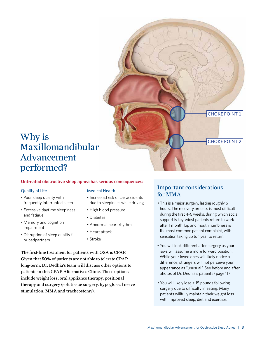

# Maxillomandibular Advancement performed?

#### **Untreated obstructive sleep apnea has serious consequences:**

#### Quality of Life

- Poor sleep quality with frequently interrupted sleep
- Excessive daytime sleepiness and fatigue
- Memory and cognition impairment
- Disruption of sleep quality f or bedpartners

#### Medical Health

- Increased risk of car accidents due to sleepiness while driving
- High blood pressure
- Diabetes
- Abnormal heart rhythm
- Heart attack
- Stroke

The first-line treatment for patients with OSA is CPAP. Given that 50% of patients are not able to tolerate CPAP long-term, Dr. Dedhia's team will discuss other options to patients in this CPAP Alternatives Clinic. These options include weight loss, oral appliance therapy, positional therapy and surgery (soft tissue surgery, hypoglossal nerve stimulation, MMA and tracheostomy).

#### Important considerations for MMA

- This is a major surgery, lasting roughly 6 hours. The recovery process is most difficult during the first 4-6 weeks, during which social support is key. Most patients return to work after 1 month. Lip and mouth numbness is the most common patient complaint, with sensation taking up to 1 year to return.
- You will look different after surgery as your jaws will assume a more forward position. While your loved ones will likely notice a difference, strangers will not perceive your appearance as "unusual". See before and after photos of Dr. Dedhia's patients (page 11).
- You will likely lose > 15 pounds following surgery due to difficulty in eating. Many patients willfully maintain their weight loss with improved sleep, diet and exercise.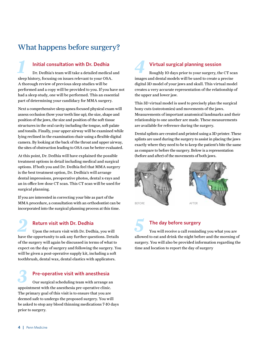# What happens before surgery?

#### **Initial consultation with Dr. Dedhia**

Dr. Dedhia's team will take a detailed medical and sleep history, focusing on issues relevant to your OSA. A thorough review of previous sleep studies will be performed and a copy will be provided to you. If you have not had a sleep study, one will be performed. This an essential part of determining your candidacy for MMA surgery. *1*

Next a comprehensive sleep apnea focused physical exam will assess occlusion (how your teeth line up), the size, shape and position of the jaws, the size and position of the soft tissue structures in the oral cavity including the tongue, soft palate and tonsils. Finally, your upper airway will be examined while lying reclined in the examination chair using a flexible digital camera. By looking at the back of the throat and upper airway, the sites of obstruction leading to OSA can be better evaluated.

At this point, Dr. Dedhia will have explained the possible treatment options in detail including medical and surgical options. If both you and Dr. Dedhia feel that MMA surgery is the best treatment option, Dr. Dedhia's will arrange dental impressions, preoperative photos, dental x-rays and an in office low dose CT scan. This CT scan will be used for surgical planning.

If you are interested in correcting your bite as part of the MMA procedure, a consultation with an orthodontist can be incorporated into the surgical planning process at this time.

#### **Return visit with Dr. Dedhia**

Upon the return visit with Dr. Dedhia, you will *2 5* have the opportunity to ask any further questions. Details of the surgery will again be discussed in terms of what to expect on the day of surgery and following the surgery. You will be given a post-operative supply kit, including a soft toothbrush, dental wax, dental elastics with applicators.

### **Pre-operative visit with anesthesia**

Our surgical scheduling team with arrange an appointment with the anesthesia pre-operative clinic. The primary goal of this visit is to ensure that you are deemed safe to undergo the proposed surgery. You will be asked to stop any blood thinning medications 7-10 days prior to surgery. *3*

# **Virtual surgical planning session**

Roughly 10 days prior to your surgery, the CT scan images and dental models will be used to create a precise digital 3D model of your jaws and skull. This virtual model creates a very accurate representation of the relationship of the upper and lower jaw. *4*

This 3D virtual model is used to precisely plan the surgical bony cuts (osteotomies) and movements of the jaws. Measurements of important anatomical landmarks and their relationship to one another are made. These measurements are available for reference during the surgery.

Dental splints are created and printed using a 3D printer. These splints are used during the surgery to assist in placing the jaws exactly where they need to be to keep the patient's bite the same as compare to before the surgery. Below is a representation (before and after) of the movements of both jaws.



# **The day before surgery**

You will receive a call reminding you what you are allowed to eat and drink the night before and the morning of surgery. You will also be provided information regarding the time and location to report the day of surgery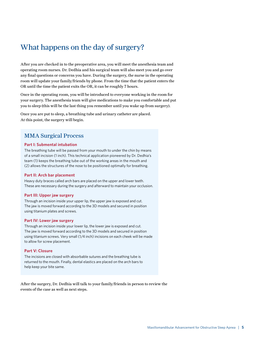## What happens on the day of surgery?

After you are checked in to the preoperative area, you will meet the anesthesia team and operating room nurses. Dr. Dedhia and his surgical team will also meet you and go over any final questions or concerns you have. During the surgery, the nurse in the operating room will update your family/friends by phone. From the time that the patient enters the OR until the time the patient exits the OR, it can be roughly 7 hours.

Once in the operating room, you will be introduced to everyone working in the room for your surgery. The anesthesia team will give medications to make you comfortable and put you to sleep (this will be the last thing you remember until you wake up from surgery).

Once you are put to sleep, a breathing tube and urinary catheter are placed. At this point, the surgery will begin.

#### MMA Surgical Process

#### **Part I: Submental intubation**

The breathing tube will be passed from your mouth to under the chin by means of a small incision (1 inch). This technical application pioneered by Dr. Dedhia's team (1) keeps the breathing tube out of the working areas in the mouth and (2) allows the structures of the nose to be positioned optimally for breathing.

#### **Part II: Arch bar placement**

Heavy duty braces called arch bars are placed on the upper and lower teeth. These are necessary during the surgery and afterward to maintain your occlusion.

#### **Part III: Upper jaw surgery**

Through an incision inside your upper lip, the upper jaw is exposed and cut. The jaw is moved forward according to the 3D models and secured in position using titanium plates and screws.

#### **Part IV: Lower jaw surgery**

Through an incision inside your lower lip, the lower jaw is exposed and cut. The jaw is moved forward according to the 3D models and secured in position using titanium screws. Very small (1/4 inch) incisions on each cheek will be made to allow for screw placement.

#### **Part V: Closure**

The incisions are closed with absorbable sutures and the breathing tube is returned to the mouth. Finally, dental elastics are placed on the arch bars to help keep your bite same.

After the surgery, Dr. Dedhia will talk to your family/friends in person to review the events of the case as well as next steps.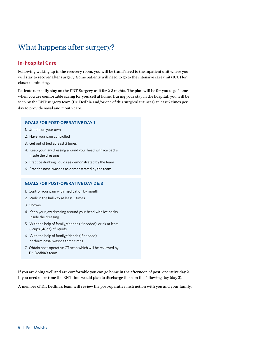# What happens after surgery?

#### **In-hospital Care**

Following waking up in the recovery room, you will be transferred to the inpatient unit where you will stay to recover after surgery. Some patients will need to go to the intensive care unit (ICU) for closer monitoring.

Patients normally stay on the ENT Surgery unit for 2-3 nights. The plan will be for you to go home when you are comfortable caring for yourself at home. During your stay in the hospital, you will be seen by the ENT surgery team (Dr. Dedhia and/or one of this surgical trainees) at least 2 times per day to provide nasal and mouth care.

#### **GOALS FOR POST-OPERATIVE DAY 1**

- 1. Urinate on your own
- 2. Have your pain controlled
- 3. Get out of bed at least 3 times
- 4. Keep your jaw dressing around your head with ice packs inside the dressing
- 5. Practice drinking liquids as demonstrated by the team
- 6. Practice nasal washes as demonstrated by the team

#### **GOALS FOR POST-OPERATIVE DAY 2 & 3**

- 1. Control your pain with medication by mouth
- 2. Walk in the hallway at least 3 times
- 3. Shower
- 4. Keep your jaw dressing around your head with ice packs inside the dressing
- 5. With the help of family/friends (if needed), drink at least 6 cups (48oz) of liquids
- 6. With the help of family/friends (if needed), perform nasal washes three times
- 7. Obtain post-operative CT scan which will be reviewed by Dr. Dedhia's team

If you are doing well and are comfortable you can go home in the afternoon of post- operative day 2. If you need more time the ENT time would plan to discharge them on the following day (day 3).

A member of Dr. Dedhia's team will review the post-operative instruction with you and your family.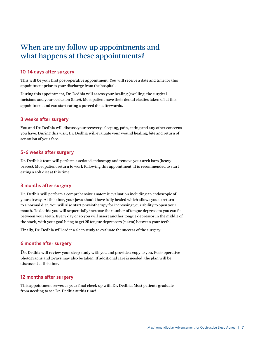## When are my follow up appointments and what happens at these appointments?

#### **10-14 days after surgery**

This will be your first post-operative appointment. You will receive a date and time for this appointment prior to your discharge from the hospital.

During this appointment, Dr. Dedhia will assess your healing (swelling, the surgical incisions and your occlusion (bite)). Most patient have their dental elastics taken off at this appointment and can start eating a pureed diet afterwards.

#### **3 weeks after surgery**

You and Dr. Dedhia will discuss your recovery: sleeping, pain, eating and any other concerns you have. During this visit, Dr. Dedhia will evaluate your wound healing, bite and return of sensation of your face.

#### **5-6 weeks after surgery**

Dr. Dedhia's team will perform a sedated endoscopy and remove your arch bars (heavy braces). Most patient return to work following this appointment. It is recommended to start eating a soft diet at this time.

#### **3 months after surgery**

Dr. Dedhia will perform a comprehensive anatomic evaluation including an endoscopic of your airway. At this time, your jaws should have fully healed which allows you to return to a normal diet. You will also start physiotherapy for increasing your ability to open your mouth. To do this you will sequentially increase the number of tongue depressors you can fit between your teeth. Every day or so you will insert another tongue depressor in the middle of the stack, with your goal being to get 25 tongue depressors (= 4cm) between your teeth.

Finally, Dr. Dedhia will order a sleep study to evaluate the success of the surgery.

#### **6 months after surgery**

Dr. Dedhia will review your sleep study with you and provide a copy to you. Post- operative photographs and x-rays may also be taken. If additional care is needed, the plan will be discussed at this time.

#### **12 months after surgery**

This appointment serves as your final check up with Dr. Dedhia. Most patients graduate from needing to see Dr. Dedhia at this time!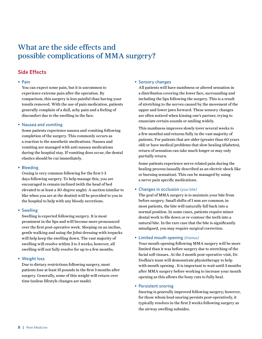# What are the side effects and possible complications of MMA surgery?

#### **Side Effects**

#### • Pain

You can expect some pain, but it is uncommon to experience extreme pain after the operation. By comparison, this surgery is less painful than having your tonsils removed. With the use of pain medication, patients generally complain of a dull, achy pain and a feeling of discomfort due to the swelling in the face.

#### • Nausea and vomiting

Some patients experience nausea and vomiting following completion of the surgery. This commonly occurs as a reaction to the anesthetic medications. Nausea and vomiting are managed with anti-nausea medications during the hospital stay. If vomiting does occur, the dental elastics should be cut immediately.

#### • Bleeding

Oozing is very common following for the first 1-3 days following surgery. To help manage this, you are encouraged to remain inclined (with the head of bed elevated to at least a 30-degree angle). A suction (similar to like when you are at the dentist) will be provided to you in the hospital to help with any bloody secretions.

#### • Swelling

Swelling is expected following surgery. It is most prominent in the lips and will become more pronounced over the first post-operative week. Sleeping on an incline, gentle walking and using the Jobst dressing with icepacks will help keep the swelling down. The vast majority of swelling will resolve within 2 to 3 weeks; however, all swelling will not fully resolve for up to a few months.

#### • Weight loss

Due to dietary restrictions following surgery, most patients lose at least 15 pounds in the first 3 months after surgery. Generally, some of this weight will return over time (unless lifestyle changes are made).

#### • Sensory changes

All patients will have numbness or altered sensation in a distribution covering the lower face, surrounding and including the lips following the surgery. This is a result of stretching to the nerves caused by the movement of the upper and lower jaws forward. These sensory changes are often noticed when kissing one's partner, trying to enunciate certain sounds or smiling widely.

 This numbness improves slowly (over several weeks to a few months) and returns fully in the vast majority of patients. For patients that are older (greater than 60 years old) or have medical problems that slow healing (diabetes), return of sensation can take much longer or may only partially return.

 Some patients experience nerve related pain during the healing process (usually described as an electric shock like or burning sensation). This can be managed by using a nerve pain specific medications.

#### • Changes in occlusion *(your bite)*

The goal of MMA surgery is to maintain your bite from before surgery. Small shifts of 1 mm are common; in most patients, the bite will naturally fall back into a normal position. In some cases, patients require minor dental work to file down or re-contour the teeth into a natural bite. In the rare case that the bite is significantly misaligned, you may require surgical correction.

#### • Limited mouth opening *(trismus)*

Your mouth opening following MMA surgery will be more limited than it was before surgery due to stretching of the facial soft tissues. At the 3 month post-operative visit, Dr. Dedhia's team will demonstrate physiotherapy to help with mouth opening . It is important to wait until 3 months after MMA surgery before working to increase your mouth opening as this allows the bony cuts to fully heal.

#### • Persistent snoring

Snoring is generally improved following surgery; however, for those whom loud snoring persists post-operatively, it typically resolves in the first 2 weeks following surgery as the airway swelling subsides.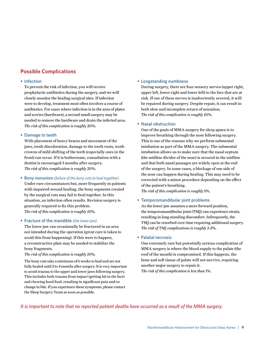#### **Possible Complications**

#### • Infection

To prevent the risk of infection, you will receive prophylactic antibiotics during the surgery, and we will closely monitor the healing surgical sites. If infection were to develop, treatment most often involves a course of antibiotics. For cases where infection is in the area of plates and screws (hardware), a second small surgery may be needed to remove the hardware and drain the infected area. *The risk of this complication is roughly 20%.*

#### • Damage to teeth

With placement of heavy braces and movement of the jaws, tooth discoloration, damage to the tooth roots, tooth crowns of mild shifting of the teeth (especially ones in the front) can occur. If it is bothersome, consultation with a dentist is encouraged 3 months after surgery. *The risk of this complication is roughly 20%.*

#### • Bony nonunion *(failure of the bony cuts to heal together)*

Under rare circumstances but, more frequently in patients with impaired wound healing, the bony segments created by the surgical cuts may fail to heal together. In this situation, an infection often results. Revision surgery is generally required to fix this problem. *The risk of this complication is roughly 10%.*

#### • Fracture of the mandible *(the lower jaw)*

The lower jaw can occasionally be fractured in an area not intended during the operation (great care is taken to avoid this from happening). If this were to happen, a reconstructive plate may be needed to stabilize the bony fragments.

#### *The risk of this complication is roughly 10%.*

 The bony cuts take a minimum of 6 weeks to heal and are not fully healed until 3 to 4 months after surgery. It is very important to avoid trauma to the upper and lower jaws following surgery. This includes both trauma from impact (getting hit in the face) and chewing hard food, resulting in significant pain and/or change in bite. If you experience these symptoms, please contact the Sleep Surgery Team as soon as possible.

#### • Longstanding numbness

During surgery, there are four sensory nerves (upper right, upper left, lower right and lower left) to the face that are at risk. If one of these nerves is inadvertently severed, it will be repaired during surgery. Despite repair, it can result in both slow and incomplete return of sensation. *The risk of this complication is roughly 10%.*

#### • Nasal obstruction

One of the goals of MMA surgery for sleep apnea is to improve breathing through the nose following surgery. This is one of the reasons why we perform submental intubation as part of the MMA surgery. The submental intubation allows us to make sure that the nasal septum (the midline divider of the nose) is secured in the midline and that both nasal passages are widely open at the end of the surgery. In some cases, a blockage of one side of the nose can happen during healing. This may need to be corrected with a minor procedure depending on the effect of the patient's breathing.

*The risk of this complication is roughly 5%.*

#### • Temporomandibular joint problems

As the lower jaw assumes a more forward position, the temporomandibular joint (TMJ) can experience strain, resulting in long standing discomfort. Infrequently, the TMJ can be resorbed over time requiring additional surgery. *The risk of TMJ complications is roughly 3-5%.*

#### • Palatal necrosis

One extremely rare but potentially serious complication of MMA surgery is where the blood supply to the palate (the roof of the mouth) is compromised. If this happens, the bone and soft tissue of palate will not survive, requiring another major surgery to repair it.

*The risk of this complication is less than 1%.*

#### *It is important to note that no reported patient deaths have occurred as a result of the MMA surgery.*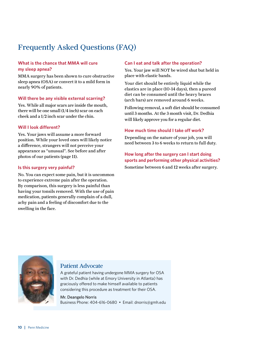# Frequently Asked Questions (FAQ)

#### **What is the chance that MMA will cure my sleep apnea?**

MMA surgery has been shown to cure obstructive sleep apnea (OSA) or convert it to a mild form in nearly 90% of patients.

#### **Will there be any visible external scarring?**

Yes. While all major scars are inside the mouth, there will be one small (1/4 inch) scar on each cheek and a 1/2 inch scar under the chin.

#### **Will I look different?**

Yes. Your jaws will assume a more forward position. While your loved ones will likely notice a difference, strangers will not perceive your appearance as "unusual". See before and after photos of our patients (page 11).

#### **Is this surgery very painful?**

No. You can expect some pain, but it is uncommon to experience extreme pain after the operation. By comparison, this surgery is less painful than having your tonsils removed. With the use of pain medication, patients generally complain of a dull, achy pain and a feeling of discomfort due to the swelling in the face.

#### **Can I eat and talk after the operation?**

Yes. Your jaw will NOT be wired shut but held in place with elastic bands.

Your diet should be entirely liquid while the elastics are in place (10-14 days), then a pureed diet can be consumed until the heavy braces (arch bars) are removed around 6 weeks.

Following removal, a soft diet should be consumed until 3 months. At the 3 month visit, Dr. Dedhia will likely approve you for a regular diet.

#### **How much time should I take off work?**

Depending on the nature of your job, you will need between 3 to 6 weeks to return to full duty.

#### **How long after the surgery can I start doing sports and performing other physical activities?**

Sometime between 6 and 12 weeks after surgery.



#### Patient Advocate

A grateful patient having undergone MMA surgery for OSA with Dr. Dedhia (while at Emory University in Atlanta) has graciously offered to make himself available to patients considering this procedure as treatment for their OSA.

Mr. Deangelo Norris Business Phone: 404-616-0680 • Email: dnorris@gmh.edu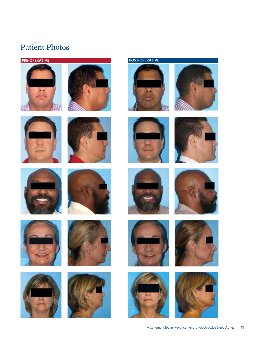# Patient Photos